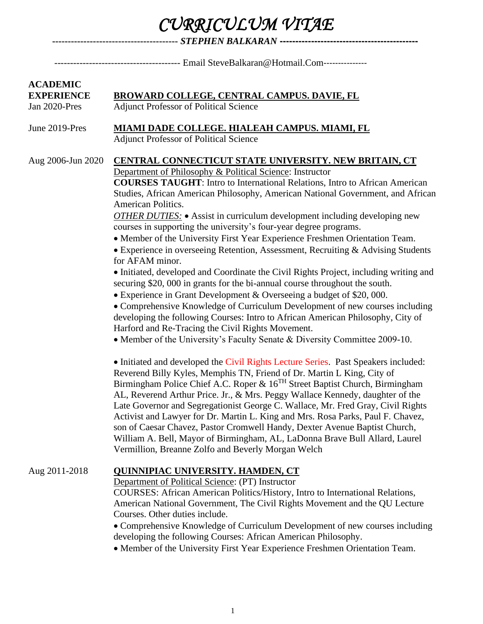| CURRICULUM VITAE                                      |                                                                                                                                                                                                                                                                                                                                                                                                                                                                                                                                                                                                                                                                                                                                                                                                                                                                                                                                                                                                                                                                                                                                                                                                                                                                                                                                                                                                                                                                                                                                                                                                                                                                                                                                                                                                                                                                                                                                                            |  |
|-------------------------------------------------------|------------------------------------------------------------------------------------------------------------------------------------------------------------------------------------------------------------------------------------------------------------------------------------------------------------------------------------------------------------------------------------------------------------------------------------------------------------------------------------------------------------------------------------------------------------------------------------------------------------------------------------------------------------------------------------------------------------------------------------------------------------------------------------------------------------------------------------------------------------------------------------------------------------------------------------------------------------------------------------------------------------------------------------------------------------------------------------------------------------------------------------------------------------------------------------------------------------------------------------------------------------------------------------------------------------------------------------------------------------------------------------------------------------------------------------------------------------------------------------------------------------------------------------------------------------------------------------------------------------------------------------------------------------------------------------------------------------------------------------------------------------------------------------------------------------------------------------------------------------------------------------------------------------------------------------------------------------|--|
|                                                       |                                                                                                                                                                                                                                                                                                                                                                                                                                                                                                                                                                                                                                                                                                                                                                                                                                                                                                                                                                                                                                                                                                                                                                                                                                                                                                                                                                                                                                                                                                                                                                                                                                                                                                                                                                                                                                                                                                                                                            |  |
|                                                       |                                                                                                                                                                                                                                                                                                                                                                                                                                                                                                                                                                                                                                                                                                                                                                                                                                                                                                                                                                                                                                                                                                                                                                                                                                                                                                                                                                                                                                                                                                                                                                                                                                                                                                                                                                                                                                                                                                                                                            |  |
| <b>ACADEMIC</b><br><b>EXPERIENCE</b><br>Jan 2020-Pres | <b>BROWARD COLLEGE, CENTRAL CAMPUS. DAVIE, FL</b><br><b>Adjunct Professor of Political Science</b>                                                                                                                                                                                                                                                                                                                                                                                                                                                                                                                                                                                                                                                                                                                                                                                                                                                                                                                                                                                                                                                                                                                                                                                                                                                                                                                                                                                                                                                                                                                                                                                                                                                                                                                                                                                                                                                         |  |
| June 2019-Pres                                        | <b>MIAMI DADE COLLEGE. HIALEAH CAMPUS. MIAMI, FL</b><br><b>Adjunct Professor of Political Science</b>                                                                                                                                                                                                                                                                                                                                                                                                                                                                                                                                                                                                                                                                                                                                                                                                                                                                                                                                                                                                                                                                                                                                                                                                                                                                                                                                                                                                                                                                                                                                                                                                                                                                                                                                                                                                                                                      |  |
| Aug 2006-Jun 2020                                     | CENTRAL CONNECTICUT STATE UNIVERSITY. NEW BRITAIN, CT<br>Department of Philosophy & Political Science: Instructor<br><b>COURSES TAUGHT:</b> Intro to International Relations, Intro to African American<br>Studies, African American Philosophy, American National Government, and African<br>American Politics.<br><b>OTHER DUTIES:</b> • Assist in curriculum development including developing new<br>courses in supporting the university's four-year degree programs.<br>• Member of the University First Year Experience Freshmen Orientation Team.<br>• Experience in overseeing Retention, Assessment, Recruiting & Advising Students<br>for AFAM minor.<br>• Initiated, developed and Coordinate the Civil Rights Project, including writing and<br>securing \$20, 000 in grants for the bi-annual course throughout the south.<br>• Experience in Grant Development & Overseeing a budget of \$20,000.<br>• Comprehensive Knowledge of Curriculum Development of new courses including<br>developing the following Courses: Intro to African American Philosophy, City of<br>Harford and Re-Tracing the Civil Rights Movement.<br>• Member of the University's Faculty Senate & Diversity Committee 2009-10.<br>• Initiated and developed the Civil Rights Lecture Series. Past Speakers included:<br>Reverend Billy Kyles, Memphis TN, Friend of Dr. Martin L King, City of<br>Birmingham Police Chief A.C. Roper & 16 <sup>TH</sup> Street Baptist Church, Birmingham<br>AL, Reverend Arthur Price. Jr., & Mrs. Peggy Wallace Kennedy, daughter of the<br>Late Governor and Segregationist George C. Wallace, Mr. Fred Gray, Civil Rights<br>Activist and Lawyer for Dr. Martin L. King and Mrs. Rosa Parks, Paul F. Chavez,<br>son of Caesar Chavez, Pastor Cromwell Handy, Dexter Avenue Baptist Church,<br>William A. Bell, Mayor of Birmingham, AL, LaDonna Brave Bull Allard, Laurel<br>Vermillion, Breanne Zolfo and Beverly Morgan Welch |  |
| Aug 2011-2018                                         | <b>QUINNIPIAC UNIVERSITY. HAMDEN, CT</b><br>Department of Political Science: (PT) Instructor<br>COURSES: African American Politics/History, Intro to International Relations,<br>American National Government, The Civil Rights Movement and the QU Lecture<br>Courses. Other duties include.<br>• Comprehensive Knowledge of Curriculum Development of new courses including<br>developing the following Courses: African American Philosophy.<br>• Member of the University First Year Experience Freshmen Orientation Team.                                                                                                                                                                                                                                                                                                                                                                                                                                                                                                                                                                                                                                                                                                                                                                                                                                                                                                                                                                                                                                                                                                                                                                                                                                                                                                                                                                                                                             |  |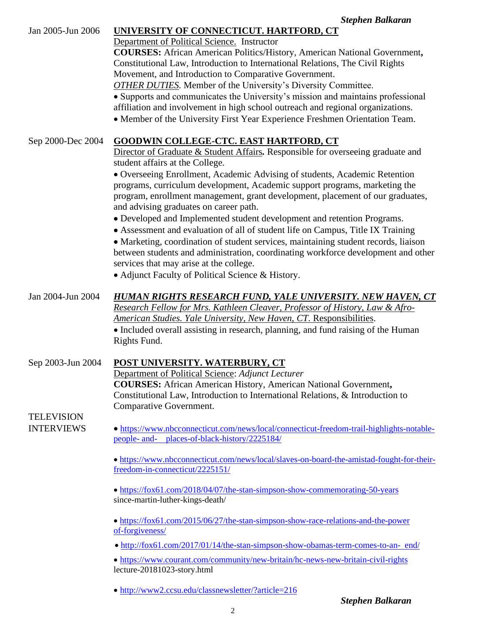| Jan 2005-Jun 2006 | UNIVERSITY OF CONNECTICUT. HARTFORD, CT                                                              |
|-------------------|------------------------------------------------------------------------------------------------------|
|                   | Department of Political Science. Instructor                                                          |
|                   | <b>COURSES:</b> African American Politics/History, American National Government,                     |
|                   | Constitutional Law, Introduction to International Relations, The Civil Rights                        |
|                   | Movement, and Introduction to Comparative Government.                                                |
|                   | <b>OTHER DUTIES</b> . Member of the University's Diversity Committee.                                |
|                   | • Supports and communicates the University's mission and maintains professional                      |
|                   | affiliation and involvement in high school outreach and regional organizations.                      |
|                   | • Member of the University First Year Experience Freshmen Orientation Team.                          |
|                   | <b>GOODWIN COLLEGE-CTC. EAST HARTFORD, CT</b>                                                        |
| Sep 2000-Dec 2004 |                                                                                                      |
|                   | Director of Graduate & Student Affairs. Responsible for overseeing graduate and                      |
|                   | student affairs at the College.                                                                      |
|                   | • Overseeing Enrollment, Academic Advising of students, Academic Retention                           |
|                   | programs, curriculum development, Academic support programs, marketing the                           |
|                   | program, enrollment management, grant development, placement of our graduates,                       |
|                   | and advising graduates on career path.                                                               |
|                   | · Developed and Implemented student development and retention Programs.                              |
|                   | • Assessment and evaluation of all of student life on Campus, Title IX Training                      |
|                   | • Marketing, coordination of student services, maintaining student records, liaison                  |
|                   | between students and administration, coordinating workforce development and other                    |
|                   | services that may arise at the college.                                                              |
|                   | • Adjunct Faculty of Political Science & History.                                                    |
|                   |                                                                                                      |
| Jan 2004-Jun 2004 | <b>HUMAN RIGHTS RESEARCH FUND, YALE UNIVERSITY. NEW HAVEN, CT</b>                                    |
|                   | Research Fellow for Mrs. Kathleen Cleaver, Professor of History, Law & Afro-                         |
|                   | American Studies. Yale University, New Haven, CT. Responsibilities.                                  |
|                   | • Included overall assisting in research, planning, and fund raising of the Human                    |
|                   | Rights Fund.                                                                                         |
|                   |                                                                                                      |
| Sep 2003-Jun 2004 | POST UNIVERSITY. WATERBURY, CT                                                                       |
|                   | Department of Political Science: Adjunct Lecturer                                                    |
|                   | <b>COURSES:</b> African American History, American National Government,                              |
|                   | Constitutional Law, Introduction to International Relations, & Introduction to                       |
|                   | Comparative Government.                                                                              |
| <b>TELEVISION</b> |                                                                                                      |
| <b>INTERVIEWS</b> | • https://www.nbcconnecticut.com/news/local/connecticut-freedom-trail-highlights-notable-            |
|                   | places-of-black-history/2225184/<br>people- and-                                                     |
|                   |                                                                                                      |
|                   | • https://www.nbcconnecticut.com/news/local/slaves-on-board-the-amistad-fought-for-their-            |
|                   | freedom-in-connecticut/2225151/                                                                      |
|                   |                                                                                                      |
|                   | • https://fox61.com/2018/04/07/the-stan-simpson-show-commemorating-50-years                          |
|                   | since-martin-luther-kings-death/                                                                     |
|                   |                                                                                                      |
|                   | • https://fox61.com/2015/06/27/the-stan-simpson-show-race-relations-and-the-power<br>of-forgiveness/ |
|                   | • http://fox61.com/2017/01/14/the-stan-simpson-show-obamas-term-comes-to-an-end/                     |
|                   |                                                                                                      |
|                   | • https://www.courant.com/community/new-britain/hc-news-new-britain-civil-rights                     |
|                   | lecture-20181023-story.html                                                                          |
|                   | • http://www2.ccsu.edu/classnewsletter/?article=216                                                  |
|                   |                                                                                                      |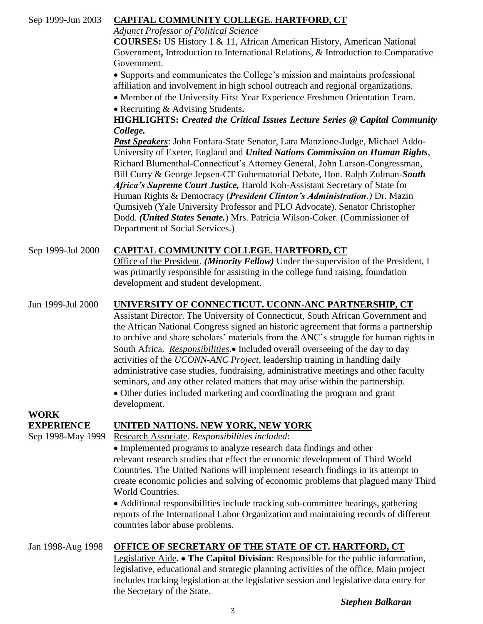### Sep 1999-Jun 2003 **CAPITAL COMMUNITY COLLEGE. HARTFORD, CT**

*Adjunct Professor of Political Science*

**COURSES:** US History 1 & 11, African American History, American National Government**,** Introduction to International Relations, & Introduction to Comparative Government.

• Supports and communicates the College's mission and maintains professional affiliation and involvement in high school outreach and regional organizations.

- Member of the University First Year Experience Freshmen Orientation Team.
- Recruiting & Advising Students**.**

**HIGHLIGHTS:** *Created the Critical Issues Lecture Series @ Capital Community College.*

*Past Speakers*: John Fonfara-State Senator, Lara Manzione-Judge, Michael Addo-University of Exeter, England and *United Nations Commission on Human Rights*, Richard Blumenthal-Connecticut's Attorney General, John Larson-Congressman, Bill Curry & George Jepsen-CT Gubernatorial Debate, Hon. Ralph Zulman-*South Africa's Supreme Court Justice,* Harold Koh-Assistant Secretary of State for Human Rights & Democracy (*President Clinton's Administration.)* Dr. Mazin Qumsiyeh (Yale University Professor and PLO Advocate). Senator Christopher Dodd. *(United States Senate.*) Mrs. Patricia Wilson-Coker. (Commissioner of Department of Social Services.)

### Sep 1999-Jul 2000 **CAPITAL COMMUNITY COLLEGE. HARTFORD, CT**

Office of the President. *(Minority Fellow)* Under the supervision of the President, I was primarily responsible for assisting in the college fund raising, foundation development and student development.

### Jun 1999-Jul 2000 **UNIVERSITY OF CONNECTICUT. UCONN-ANC PARTNERSHIP, CT**

Assistant Director. The University of Connecticut, South African Government and the African National Congress signed an historic agreement that forms a partnership to archive and share scholars' materials from the ANC's struggle for human rights in South Africa. *Responsibilities.*• Included overall overseeing of the day to day activities of the *UCONN-ANC Project*, leadership training in handling daily administrative case studies, fundraising, administrative meetings and other faculty seminars, and any other related matters that may arise within the partnership.

• Other duties included marketing and coordinating the program and grant development.

### **WORK**

**EXPERIENCE UNITED NATIONS. NEW YORK, NEW YORK**

Sep 1998-May 1999 Research Associate. *Responsibilities included*:

• Implemented programs to analyze research data findings and other relevant research studies that effect the economic development of Third World Countries. The United Nations will implement research findings in its attempt to create economic policies and solving of economic problems that plagued many Third World Countries.

• Additional responsibilities include tracking sub-committee hearings, gathering reports of the International Labor Organization and maintaining records of different countries labor abuse problems.

### Jan 1998-Aug 1998 **OFFICE OF SECRETARY OF THE STATE OF CT. HARTFORD, CT**

Legislative Aide**.** • **The Capitol Division**: Responsible for the public information, legislative, educational and strategic planning activities of the office. Main project includes tracking legislation at the legislative session and legislative data entry for the Secretary of the State.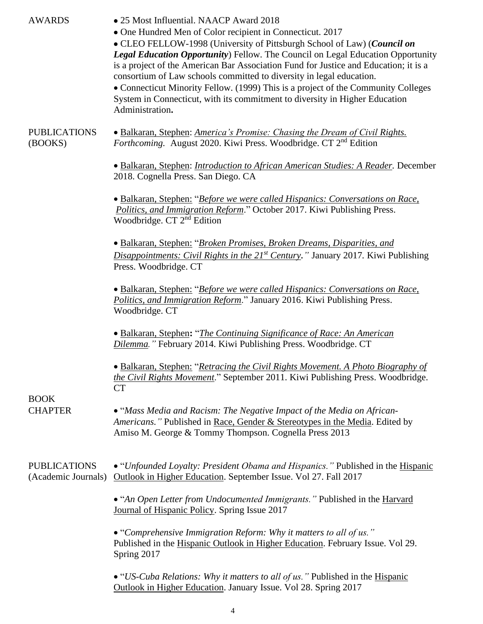| <b>AWARDS</b>                              | • 25 Most Influential. NAACP Award 2018<br>• One Hundred Men of Color recipient in Connecticut. 2017<br>• CLEO FELLOW-1998 (University of Pittsburgh School of Law) (Council on<br>Legal Education Opportunity) Fellow. The Council on Legal Education Opportunity<br>is a project of the American Bar Association Fund for Justice and Education; it is a<br>consortium of Law schools committed to diversity in legal education.<br>• Connecticut Minority Fellow. (1999) This is a project of the Community Colleges<br>System in Connecticut, with its commitment to diversity in Higher Education<br>Administration. |
|--------------------------------------------|---------------------------------------------------------------------------------------------------------------------------------------------------------------------------------------------------------------------------------------------------------------------------------------------------------------------------------------------------------------------------------------------------------------------------------------------------------------------------------------------------------------------------------------------------------------------------------------------------------------------------|
| <b>PUBLICATIONS</b><br>(BOOKS)             | • Balkaran, Stephen: America's Promise: Chasing the Dream of Civil Rights.<br>Forthcoming. August 2020. Kiwi Press. Woodbridge. CT 2 <sup>nd</sup> Edition                                                                                                                                                                                                                                                                                                                                                                                                                                                                |
|                                            | · Balkaran, Stephen: Introduction to African American Studies: A Reader. December<br>2018. Cognella Press. San Diego. CA                                                                                                                                                                                                                                                                                                                                                                                                                                                                                                  |
|                                            | • Balkaran, Stephen: "Before we were called Hispanics: Conversations on Race,<br>Politics, and Immigration Reform." October 2017. Kiwi Publishing Press.<br>Woodbridge. CT 2 <sup>nd</sup> Edition                                                                                                                                                                                                                                                                                                                                                                                                                        |
|                                            | · Balkaran, Stephen: "Broken Promises, Broken Dreams, Disparities, and<br><i>Disappointments: Civil Rights in the 21<sup>st</sup> Century</i> ." January 2017. Kiwi Publishing<br>Press. Woodbridge. CT                                                                                                                                                                                                                                                                                                                                                                                                                   |
|                                            | • Balkaran, Stephen: "Before we were called Hispanics: Conversations on Race,<br>Politics, and Immigration Reform." January 2016. Kiwi Publishing Press.<br>Woodbridge. CT                                                                                                                                                                                                                                                                                                                                                                                                                                                |
|                                            | • Balkaran, Stephen: "The Continuing Significance of Race: An American<br>Dilemma." February 2014. Kiwi Publishing Press. Woodbridge. CT                                                                                                                                                                                                                                                                                                                                                                                                                                                                                  |
|                                            | • Balkaran, Stephen: "Retracing the Civil Rights Movement. A Photo Biography of<br>the Civil Rights Movement." September 2011. Kiwi Publishing Press. Woodbridge.<br><b>CT</b>                                                                                                                                                                                                                                                                                                                                                                                                                                            |
| <b>BOOK</b><br><b>CHAPTER</b>              | • "Mass Media and Racism: The Negative Impact of the Media on African-<br>Americans." Published in Race, Gender & Stereotypes in the Media. Edited by<br>Amiso M. George & Tommy Thompson. Cognella Press 2013                                                                                                                                                                                                                                                                                                                                                                                                            |
| <b>PUBLICATIONS</b><br>(Academic Journals) | • "Unfounded Loyalty: President Obama and Hispanics." Published in the Hispanic<br>Outlook in Higher Education. September Issue. Vol 27. Fall 2017                                                                                                                                                                                                                                                                                                                                                                                                                                                                        |
|                                            | • "An Open Letter from Undocumented Immigrants." Published in the Harvard<br>Journal of Hispanic Policy. Spring Issue 2017                                                                                                                                                                                                                                                                                                                                                                                                                                                                                                |
|                                            | • "Comprehensive Immigration Reform: Why it matters to all of us."<br>Published in the Hispanic Outlook in Higher Education. February Issue. Vol 29.<br>Spring 2017                                                                                                                                                                                                                                                                                                                                                                                                                                                       |
|                                            | • "US-Cuba Relations: Why it matters to all of us." Published in the Hispanic<br>Outlook in Higher Education. January Issue. Vol 28. Spring 2017                                                                                                                                                                                                                                                                                                                                                                                                                                                                          |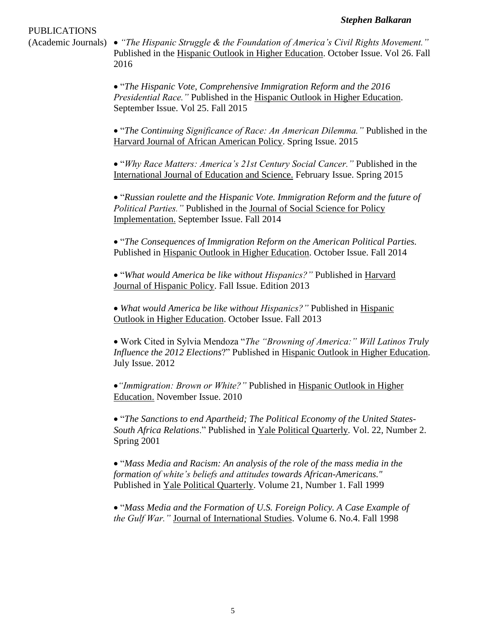# PUBLICATIONS

(Academic Journals) • *"The Hispanic Struggle & the Foundation of America's Civil Rights Movement."* Published in the Hispanic Outlook in Higher Education. October Issue. Vol 26. Fall 2016

> • "*The Hispanic Vote, Comprehensive Immigration Reform and the 2016 Presidential Race."* Published in the Hispanic Outlook in Higher Education. September Issue. Vol 25. Fall 2015

• "*The Continuing Significance of Race: An American Dilemma."* Published in the Harvard Journal of African American Policy. Spring Issue. 2015

• "*Why Race Matters: America's 21st Century Social Cancer."* Published in the International Journal of Education and Science. February Issue. Spring 2015

• "*Russian roulette and the Hispanic Vote. Immigration Reform and the future of Political Parties."* Published in the Journal of Social Science for Policy Implementation. September Issue. Fall 2014

• "*The Consequences of Immigration Reform on the American Political Parties.*  Published in Hispanic Outlook in Higher Education. October Issue. Fall 2014

• "*What would America be like without Hispanics?"* Published in Harvard Journal of Hispanic Policy. Fall Issue. Edition 2013

• *What would America be like without Hispanics?"* Published in Hispanic Outlook in Higher Education. October Issue. Fall 2013

• Work Cited in Sylvia Mendoza "*The "Browning of America:" Will Latinos Truly Influence the 2012 Elections*?" Published in Hispanic Outlook in Higher Education. July Issue. 2012

• *"Immigration: Brown or White?"* Published in Hispanic Outlook in Higher Education. November Issue. 2010

• "*The Sanctions to end Apartheid; The Political Economy of the United States-South Africa Relations*." Published in Yale Political Quarterly*.* Vol. 22, Number 2. Spring 2001

• "*Mass Media and Racism: An analysis of the role of the mass media in the formation of white's beliefs and attitudes towards African-Americans."*  Published in Yale Political Quarterly. Volume 21, Number 1. Fall 1999

• "*Mass Media and the Formation of U.S. Foreign Policy. A Case Example of the Gulf War."* Journal of International Studies. Volume 6. No.4. Fall 1998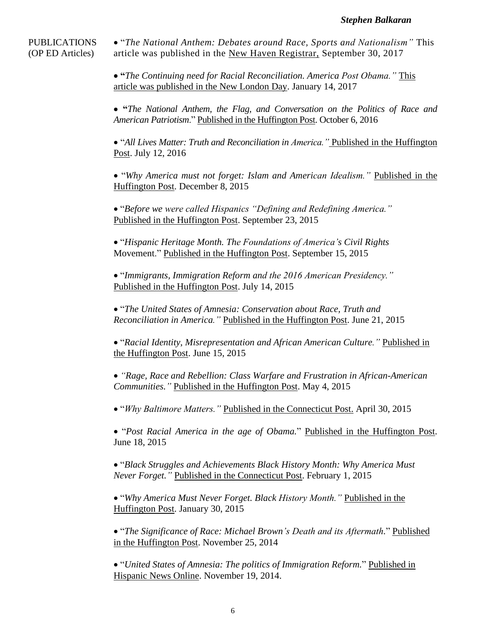PUBLICATIONS • "*The National Anthem: Debates around Race, Sports and Nationalism"* This (OP ED Articles) article was published in the New Haven Registrar, September 30, 2017

> • **"***The Continuing need for Racial Reconciliation. America Post Obama."* This article was published in the New London Day. January 14, 2017

• **"***The National Anthem, the Flag, and Conversation on the Politics of Race and American Patriotism*." Published in the Huffington Post. October 6, 2016

• "*All Lives Matter: Truth and Reconciliation in America."* Published in the Huffington Post. July 12, 2016

• "*Why America must not forget: Islam and American Idealism."* Published in the Huffington Post. December 8, 2015

• "*Before we were called Hispanics "Defining and Redefining America."*  Published in the Huffington Post. September 23, 2015

• "*Hispanic Heritage Month. The Foundations of America's Civil Rights*  Movement." Published in the Huffington Post. September 15, 2015

• "*Immigrants, Immigration Reform and the 2016 American Presidency."* Published in the Huffington Post. July 14, 2015

• "*The United States of Amnesia: Conservation about Race, Truth and Reconciliation in America."* Published in the Huffington Post. June 21, 2015

• "*Racial Identity, Misrepresentation and African American Culture."* Published in the Huffington Post. June 15, 2015

• *"Rage, Race and Rebellion: Class Warfare and Frustration in African-American Communities."* Published in the Huffington Post. May 4, 2015

• "*Why Baltimore Matters."* Published in the Connecticut Post. April 30, 2015

• "*Post Racial America in the age of Obama.*" Published in the Huffington Post. June 18, 2015

• "*Black Struggles and Achievements Black History Month: Why America Must Never Forget."* Published in the Connecticut Post. February 1, 2015

• "*Why America Must Never Forget. Black History Month."* Published in the Huffington Post. January 30, 2015

• "*The Significance of Race: Michael Brown's Death and its Aftermath.*" Published in the Huffington Post. November 25, 2014

• "*United States of Amnesia: The politics of Immigration Reform.*" Published in Hispanic News Online. November 19, 2014.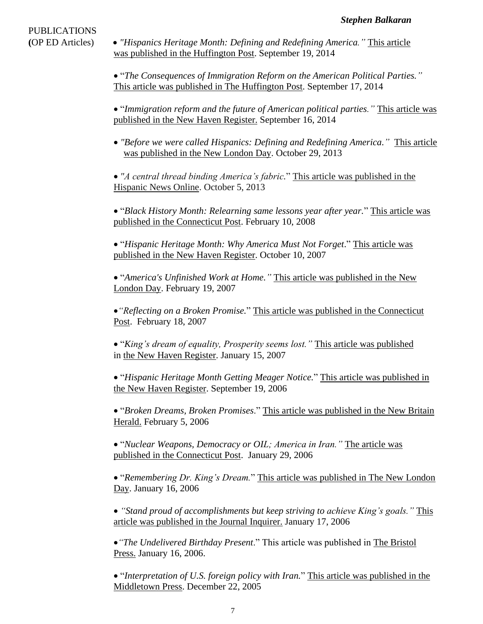**(**OP ED Articles) • *"Hispanics Heritage Month: Defining and Redefining America."* This article was published in the Huffington Post. September 19, 2014

> • "*The Consequences of Immigration Reform on the American Political Parties."*  This article was published in The Huffington Post. September 17, 2014

• "*Immigration reform and the future of American political parties."* This article was published in the New Haven Register. September 16, 2014

• *"Before we were called Hispanics: Defining and Redefining America."* This article was published in the New London Day. October 29, 2013

• *"A central thread binding America's fabric.*" This article was published in the Hispanic News Online. October 5, 2013

• "*Black History Month: Relearning same lessons year after year.*" This article was published in the Connecticut Post. February 10, 2008

• "*Hispanic Heritage Month: Why America Must Not Forget*." This article was published in the New Haven Register. October 10, 2007

• "*America's Unfinished Work at Home."* This article was published in the New London Day. February 19, 2007

•*"Reflecting on a Broken Promise.*" This article was published in the Connecticut Post. February 18, 2007

• "*King's dream of equality, Prosperity seems lost."* This article was published in the New Haven Register. January 15, 2007

• "*Hispanic Heritage Month Getting Meager Notice.*" This article was published in the New Haven Register. September 19, 2006

• "*Broken Dreams, Broken Promises*." This article was published in the New Britain Herald. February 5, 2006

• "*Nuclear Weapons, Democracy or OIL; America in Iran."* The article was published in the Connecticut Post. January 29, 2006

• "*Remembering Dr. King's Dream.*" This article was published in The New London Day. January 16, 2006

• *"Stand proud of accomplishments but keep striving to achieve King's goals."* This article was published in the Journal Inquirer. January 17, 2006

•*"The Undelivered Birthday Present*." This article was published in The Bristol Press. January 16, 2006.

• "*Interpretation of U.S. foreign policy with Iran.*" This article was published in the Middletown Press. December 22, 2005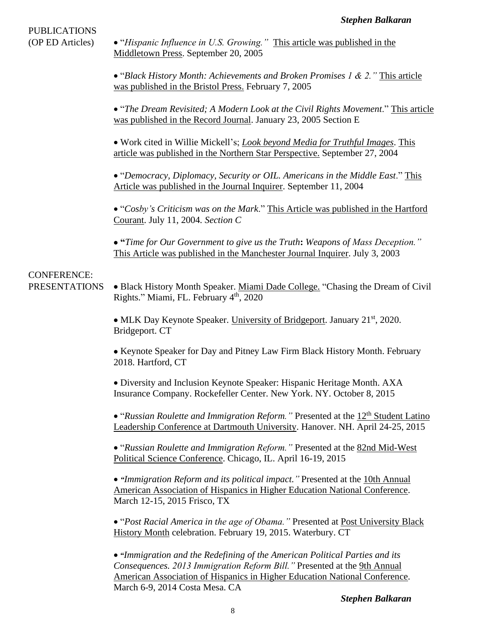| <b>PUBLICATIONS</b><br>(OP ED Articles) | <b>Stephen Balkaran</b>                                                                                                                                             |
|-----------------------------------------|---------------------------------------------------------------------------------------------------------------------------------------------------------------------|
|                                         | • "Hispanic Influence in U.S. Growing." This article was published in the<br>Middletown Press. September 20, 2005                                                   |
|                                         | • "Black History Month: Achievements and Broken Promises 1 & 2." This article<br>was published in the Bristol Press. February 7, 2005                               |
|                                         | • "The Dream Revisited; A Modern Look at the Civil Rights Movement." This article<br>was published in the Record Journal. January 23, 2005 Section E                |
|                                         | • Work cited in Willie Mickell's; <i>Look beyond Media for Truthful Images</i> . This<br>article was published in the Northern Star Perspective. September 27, 2004 |
|                                         | • "Democracy, Diplomacy, Security or OIL. Americans in the Middle East." This<br>Article was published in the Journal Inquirer. September 11, 2004                  |
|                                         | • "Cosby's Criticism was on the Mark." This Article was published in the Hartford<br>Courant. July 11, 2004. Section $C$                                            |
|                                         | • "Time for Our Government to give us the Truth: Weapons of Mass Deception."                                                                                        |

• **"***Time for Our Government to give us the Truth***:** *Weapons of Mass Deception."*  This Article was published in the Manchester Journal Inquirer. July 3, 2003

## CONFERENCE:

PRESENTATIONS • Black History Month Speaker. Miami Dade College. "Chasing the Dream of Civil Rights." Miami, FL. February 4<sup>th</sup>, 2020

> • MLK Day Keynote Speaker. University of Bridgeport. January 21<sup>st</sup>, 2020. Bridgeport. CT

• Keynote Speaker for Day and Pitney Law Firm Black History Month. February 2018. Hartford, CT

• Diversity and Inclusion Keynote Speaker: Hispanic Heritage Month. AXA Insurance Company. Rockefeller Center. New York. NY. October 8, 2015

• "Russian Roulette and *Immigration Reform*." Presented at the 12<sup>th</sup> Student Latino Leadership Conference at Dartmouth University. Hanover. NH. April 24-25, 2015

• "*Russian Roulette and Immigration Reform."* Presented at the 82nd Mid-West Political Science Conference. Chicago, IL. April 16-19, 2015

• *"Immigration Reform and its political impact."* Presented at the 10th Annual American Association of Hispanics in Higher Education National Conference. March 12-15, 2015 Frisco, TX

• "*Post Racial America in the age of Obama."* Presented at Post University Black History Month celebration. February 19, 2015. Waterbury. CT

• *"Immigration and the Redefining of the American Political Parties and its Consequences. 2013 Immigration Reform Bill.* "Presented at the 9th Annual American Association of Hispanics in Higher Education National Conference. March 6-9, 2014 Costa Mesa. CA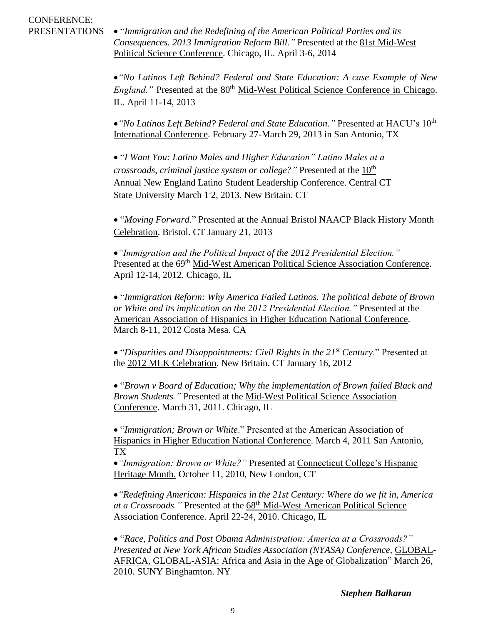PRESENTATIONS • "*Immigration and the Redefining of the American Political Parties and its Consequences. 2013 Immigration Reform Bill."* Presented at the 81st Mid-West Political Science Conference. Chicago, IL. April 3-6, 2014

> •*"No Latinos Left Behind? Federal and State Education: A case Example of New England.*" Presented at the 80<sup>th</sup> Mid-West Political Science Conference in Chicago. IL. April 11-14, 2013

> • "No Latinos Left Behind? Federal and State Education." Presented at HACU's 10<sup>th</sup> International Conference. February 27-March 29, 2013 in San Antonio, TX

• "*I Want You: Latino Males and Higher Education" Latino Males at a crossroads, criminal justice system or college?"* Presented at the 10<sup>th</sup> Annual New England Latino Student Leadership Conference. Central CT State University March 1<sup>-</sup>2, 2013. New Britain. CT

• "*Moving Forward.*" Presented at the Annual Bristol NAACP Black History Month Celebration. Bristol. CT January 21, 2013

•*"Immigration and the Political Impact of the 2012 Presidential Election."* Presented at the 69<sup>th</sup> Mid-West American Political Science Association Conference. April 12-14, 2012. Chicago, IL

• "*Immigration Reform: Why America Failed Latinos. The political debate of Brown or White and its implication on the 2012 Presidential Election."* Presented at the American Association of Hispanics in Higher Education National Conference. March 8-11, 2012 Costa Mesa. CA

• "*Disparities and Disappointments: Civil Rights in the 21st Century*." Presented at the 2012 MLK Celebration. New Britain. CT January 16, 2012

• "*Brown v Board of Education; Why the implementation of Brown failed Black and Brown Students."* Presented at the Mid-West Political Science Association Conference. March 31, 2011. Chicago, IL

• "*Immigration; Brown or White*." Presented at the American Association of Hispanics in Higher Education National Conference. March 4, 2011 San Antonio, TX

•*"Immigration: Brown or White?"* Presented at Connecticut College's Hispanic Heritage Month. October 11, 2010, New London, CT

•*"Redefining American: Hispanics in the 21st Century: Where do we fit in, America*  at a Crossroads." Presented at the 68<sup>th</sup> Mid-West American Political Science Association Conference. April 22-24, 2010. Chicago, IL

• "*Race, Politics and Post Obama Administration: America at a Crossroads?" Presented at New York African Studies Association (NYASA) Conference,* GLOBAL-AFRICA, GLOBAL-ASIA: Africa and Asia in the Age of Globalization" March 26, 2010. SUNY Binghamton. NY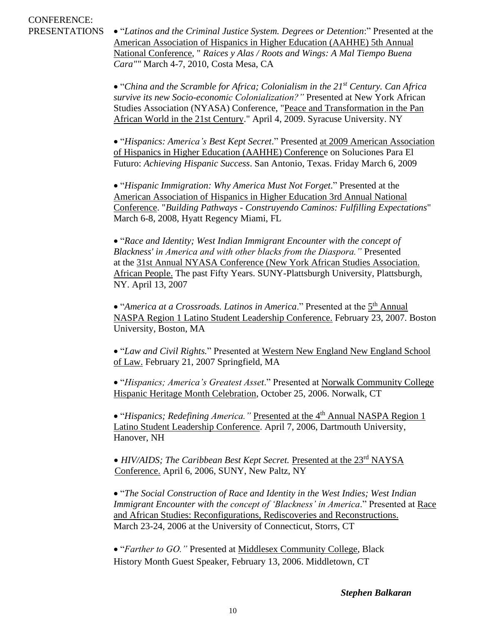PRESENTATIONS • "*Latinos and the Criminal Justice System. Degrees or Detention*:" Presented at the American Association of Hispanics in Higher Education (AAHHE) 5th Annual National Conference, " *Raices y Alas / Roots and Wings: A Mal Tiempo Buena Cara""* March 4-7, 2010, Costa Mesa, CA

> • "*China and the Scramble for Africa; Colonialism in the 21st Century. Can Africa survive its new Socio-economic Colonialization?"* Presented at New York African Studies Association (NYASA) Conference, "Peace and Transformation in the Pan African World in the 21st Century." April 4, 2009. Syracuse University. NY

• "*Hispanics: America's Best Kept Secret*." Presented at 2009 American Association of Hispanics in Higher Education (AAHHE) Conference on Soluciones Para El Futuro: *Achieving Hispanic Success*. San Antonio, Texas. Friday March 6, 2009

• "*Hispanic Immigration: Why America Must Not Forget*." Presented at the American Association of Hispanics in Higher Education 3rd Annual National Conference. "*Building Pathways - Construyendo Caminos: Fulfilling Expectations*" March 6-8, 2008, Hyatt Regency Miami, FL

• "*Race and Identity; West Indian Immigrant Encounter with the concept of Blackness' in America and with other blacks from the Diaspora."* Presented at the 31st Annual NYASA Conference (New York African Studies Association. African People. The past Fifty Years. SUNY-Plattsburgh University, Plattsburgh, NY. April 13, 2007

• "America at a Crossroads. Latinos in America." Presented at the 5<sup>th</sup> Annual NASPA Region 1 Latino Student Leadership Conference. February 23, 2007. Boston University, Boston, MA

• "*Law and Civil Rights.*" Presented at Western New England New England School of Law. February 21, 2007 Springfield, MA

• "*Hispanics; America's Greatest Asset*." Presented at Norwalk Community College Hispanic Heritage Month Celebration, October 25, 2006. Norwalk, CT

• "Hispanics; Redefining America." Presented at the 4<sup>th</sup> Annual NASPA Region 1 Latino Student Leadership Conference. April 7, 2006, Dartmouth University, Hanover, NH

• *HIV/AIDS; The Caribbean Best Kept Secret.* Presented at the 23<sup>rd</sup> NAYSA Conference. April 6, 2006, SUNY, New Paltz, NY

• "*The Social Construction of Race and Identity in the West Indies; West Indian Immigrant Encounter with the concept of 'Blackness' in America*." Presented at Race and African Studies: Reconfigurations, Rediscoveries and Reconstructions. March 23-24, 2006 at the University of Connecticut, Storrs, CT

• "*Farther to GO."* Presented at Middlesex Community College, Black History Month Guest Speaker, February 13, 2006. Middletown, CT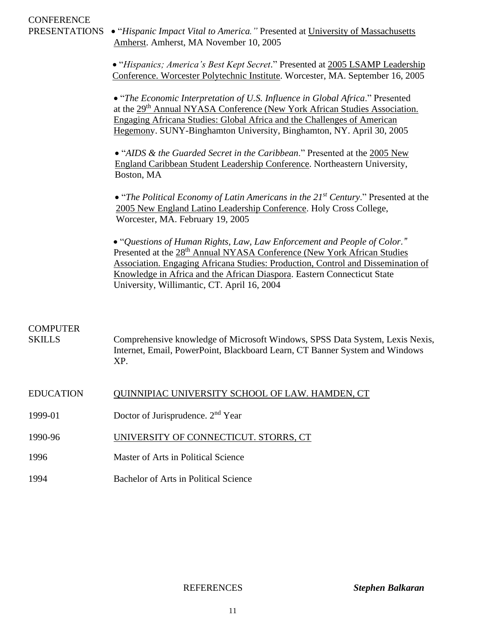PRESENTATIONS • "*Hispanic Impact Vital to America."* Presented at University of Massachusetts Amherst. Amherst, MA November 10, 2005

> • "*Hispanics; America's Best Kept Secret*." Presented at 2005 LSAMP Leadership Conference. Worcester Polytechnic Institute. Worcester, MA. September 16, 2005

• "*The Economic Interpretation of U.S. Influence in Global Africa*." Presented at the 29<sup>th</sup> Annual NYASA Conference (New York African Studies Association. Engaging Africana Studies: Global Africa and the Challenges of American Hegemony. SUNY-Binghamton University, Binghamton, NY. April 30, 2005

 • "*AIDS & the Guarded Secret in the Caribbean*." Presented at the 2005 New England Caribbean Student Leadership Conference. Northeastern University, Boston, MA

 • "*The Political Economy of Latin Americans in the 21st Century*." Presented at the 2005 New England Latino Leadership Conference. Holy Cross College, Worcester, MA. February 19, 2005

 • "*Questions of Human Rights, Law, Law Enforcement and People of Color."* Presented at the 28<sup>th</sup> Annual NYASA Conference (New York African Studies Association. Engaging Africana Studies: Production, Control and Dissemination of Knowledge in Africa and the African Diaspora. Eastern Connecticut State University, Willimantic, CT. April 16, 2004

### **COMPUTER**

SKILLS Comprehensive knowledge of Microsoft Windows, SPSS Data System, Lexis Nexis, Internet, Email, PowerPoint, Blackboard Learn, CT Banner System and Windows XP.

### EDUCATION QUINNIPIAC UNIVERSITY SCHOOL OF LAW. HAMDEN, CT

1999-01 Doctor of Jurisprudence. 2<sup>nd</sup> Year

### 1990-96 UNIVERSITY OF CONNECTICUT. STORRS, CT

- 1996 Master of Arts in Political Science
- 1994 Bachelor of Arts in Political Science